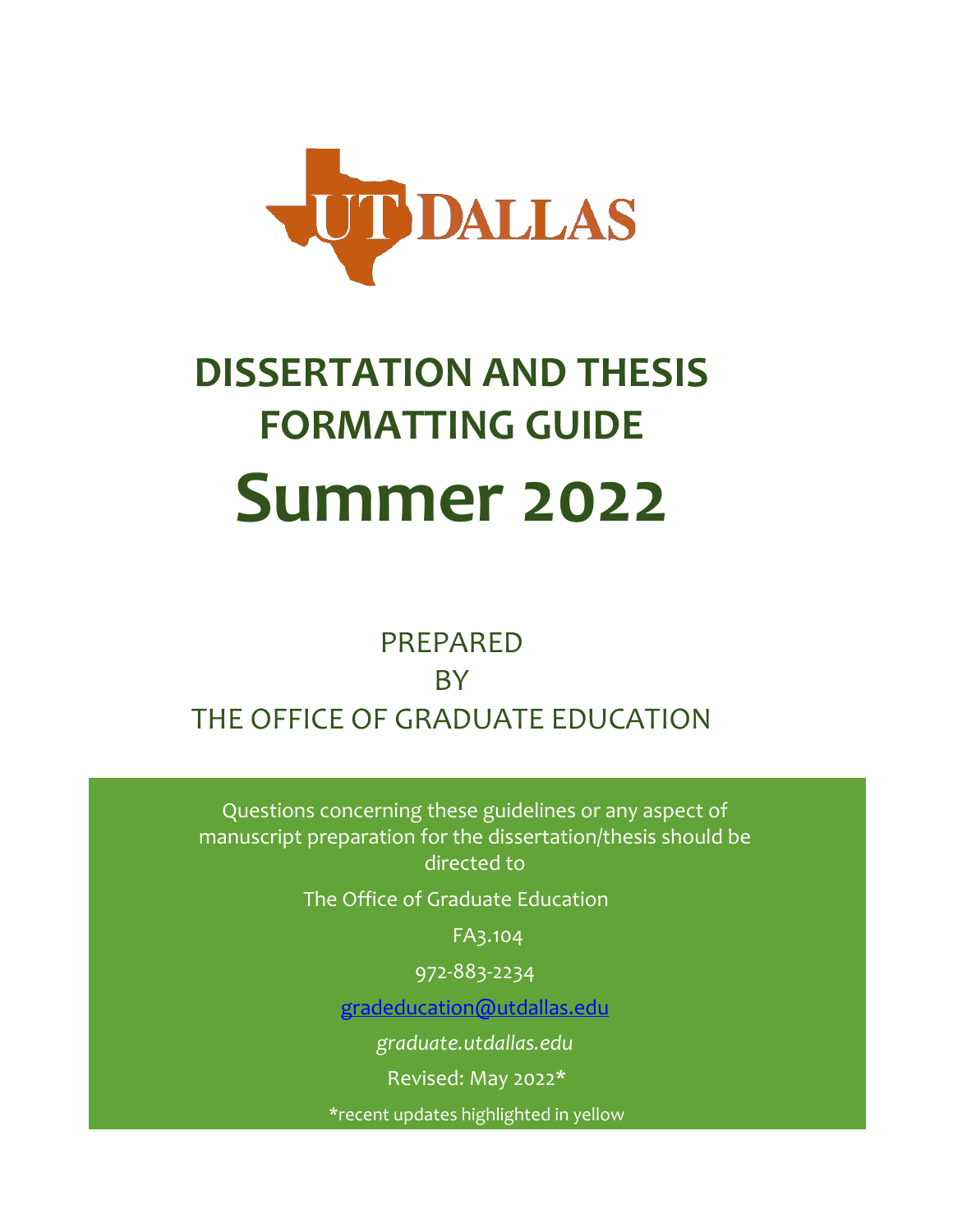

# **DISSERTATION AND THESIS FORMATTING GUIDE Summer 2022**

# PREPARED **BY** THE OFFICE OF GRADUATE EDUCATION

Questions concerning these guidelines or any aspect of manuscript preparation for the dissertation/thesis should be directed to

The Office of Graduate Education

FA3.104

972-883-2234

[gradeducation@utdallas.edu](mailto:gradeducation@utdallas.edu)

*graduate[.utdallas.edu](http://www.utdallas.edu/ogs/)* 

Revised: May 2022\*

\*recent updates highlighted in yellow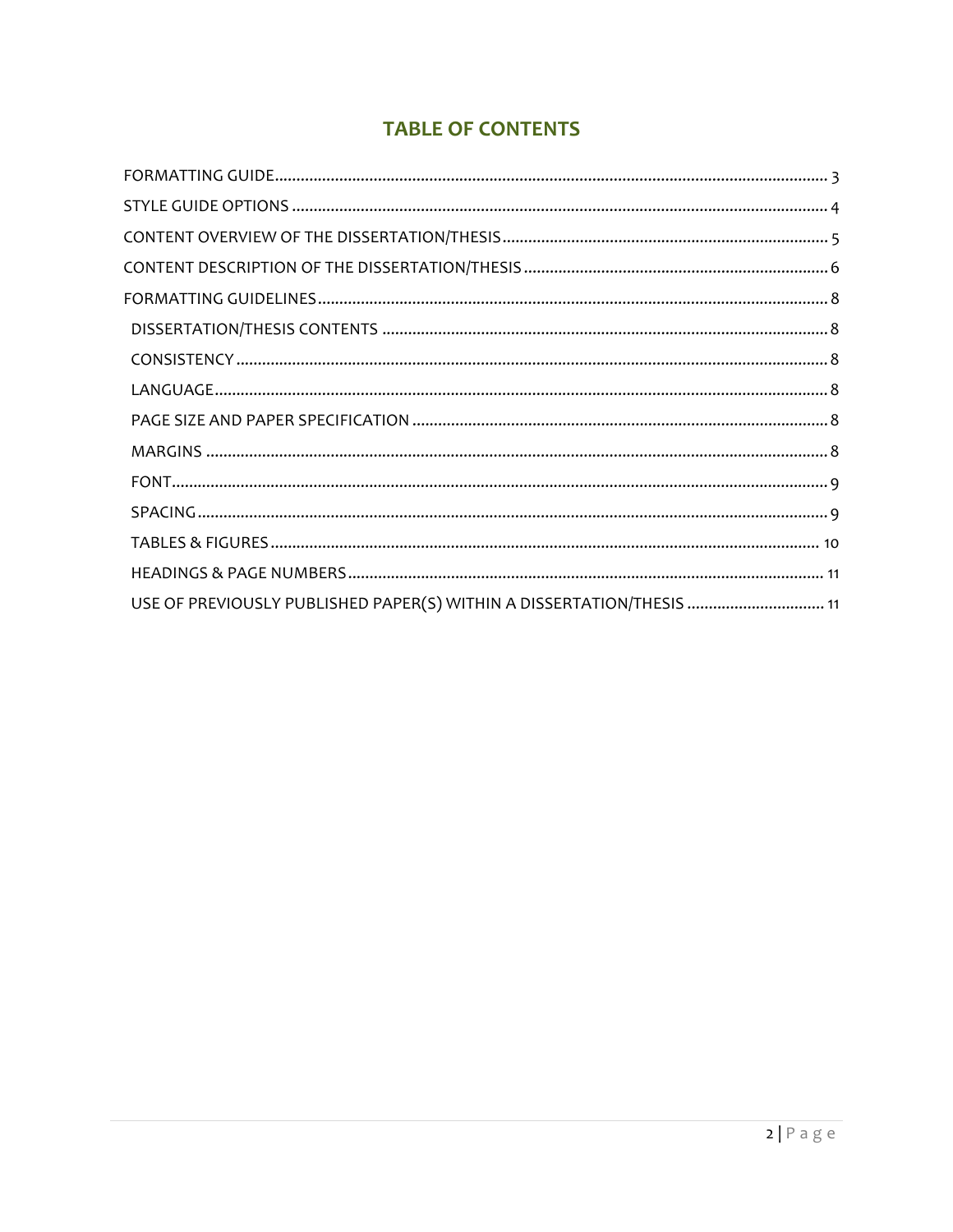# **TABLE OF CONTENTS**

| USE OF PREVIOUSLY PUBLISHED PAPER(S) WITHIN A DISSERTATION/THESIS  11 |
|-----------------------------------------------------------------------|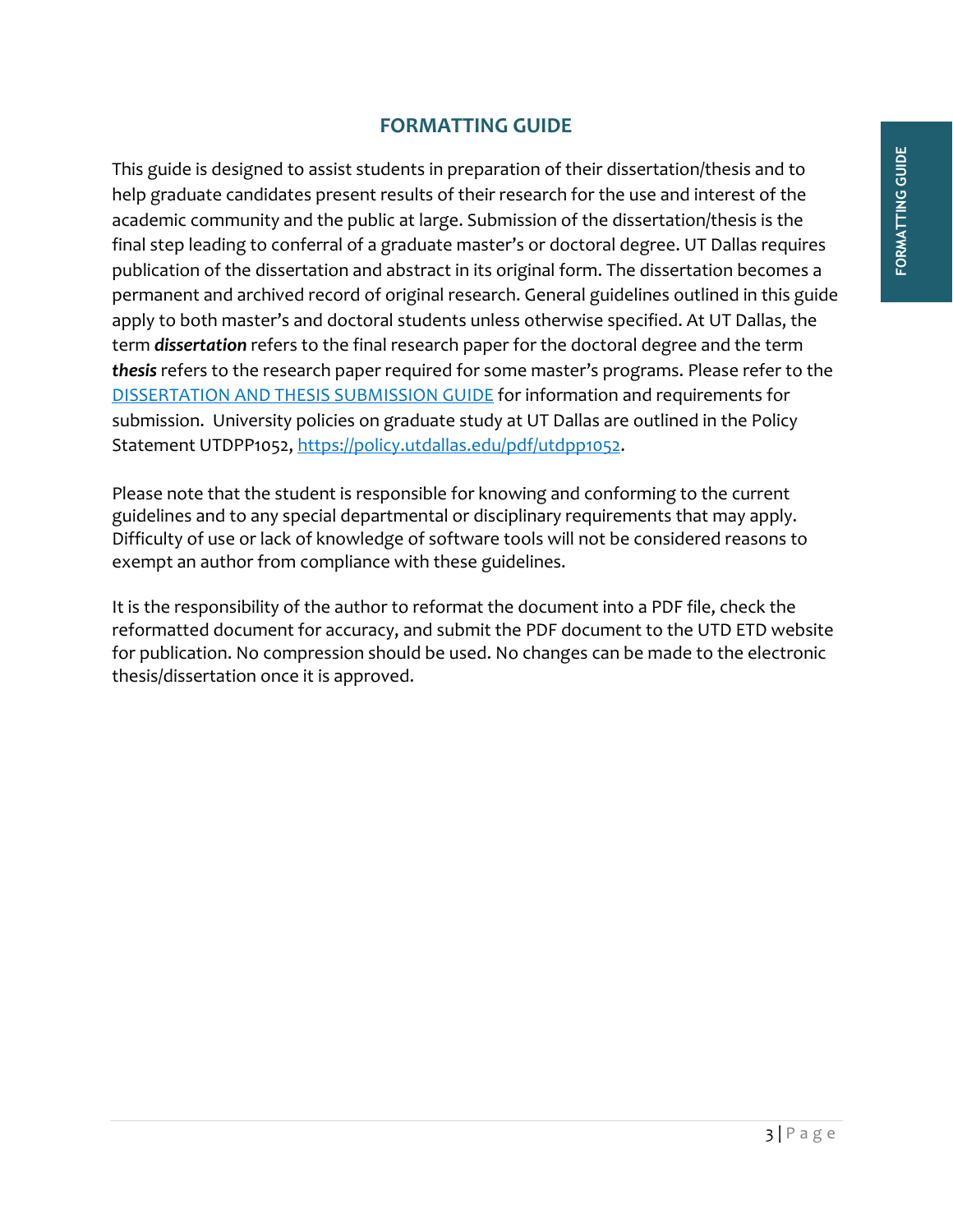# **FORMATTING GUIDE**

<span id="page-2-0"></span>This guide is designed to assist students in preparation of their dissertation/thesis and to help graduate candidates present results of their research for the use and interest of the academic community and the public at large. Submission of the dissertation/thesis is the final step leading to conferral of a graduate master's or doctoral degree. UT Dallas requires publication of the dissertation and abstract in its original form. The dissertation becomes a permanent and archived record of original research. General guidelines outlined in this guide apply to both master's and doctoral students unless otherwise specified. At UT Dallas, the term *dissertation* refers to the final research paper for the doctoral degree and the term *thesis* refers to the research paper required for some master's programs. Please refer to the [DISSERTATION AND THESIS SUBMISSION GUIDE](https://graduate.utdallas.edu/docs/thesisdissertationguide_submission.pdf) for information and requirements for submission. University policies on graduate study at UT Dallas are outlined in the Policy Statement UTDPP1052, [https://policy.utdallas.edu/pdf/utdpp1052.](https://policy.utdallas.edu/pdf/utdpp1052)

Please note that the student is responsible for knowing and conforming to the current guidelines and to any special departmental or disciplinary requirements that may apply. Difficulty of use or lack of knowledge of software tools will not be considered reasons to exempt an author from compliance with these guidelines.

It is the responsibility of the author to reformat the document into a PDF file, check the reformatted document for accuracy, and submit the PDF document to the UTD ETD website for publication. No compression should be used. No changes can be made to the electronic thesis/dissertation once it is approved.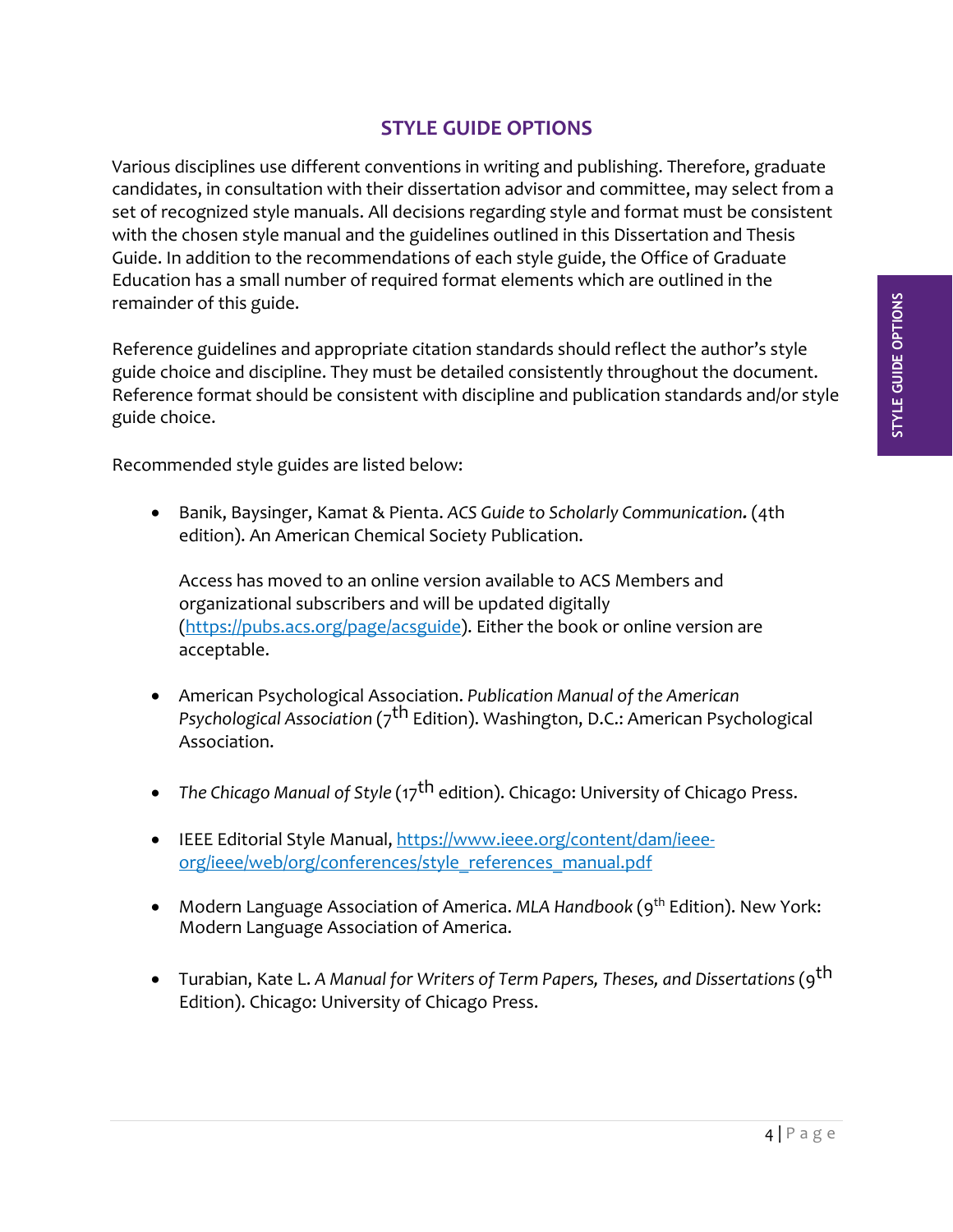# **STYLE GUIDE OPTIONS**

<span id="page-3-0"></span>Various disciplines use different conventions in writing and publishing. Therefore, graduate candidates, in consultation with their dissertation advisor and committee, may select from a set of recognized style manuals. All decisions regarding style and format must be consistent with the chosen style manual and the guidelines outlined in this Dissertation and Thesis Guide. In addition to the recommendations of each style guide, the Office of Graduate Education has a small number of required format elements which are outlined in the remainder of this guide.

Reference guidelines and appropriate citation standards should reflect the author's style guide choice and discipline. They must be detailed consistently throughout the document. Reference format should be consistent with discipline and publication standards and/or style guide choice.

Recommended style guides are listed below:

• Banik, Baysinger, Kamat & Pienta. *ACS Guide to Scholarly Communication.* (4th edition). An American Chemical Society Publication.

Access has moved to an online version available to ACS Members and organizational subscribers and will be updated digitally [\(https://pubs.acs.org/page/acsguide\)](https://pubs.acs.org/page/acsguide). Either the book or online version are acceptable.

- American Psychological Association. *Publication Manual of the American Psychological Association* (7th Edition). Washington, D.C.: American Psychological Association.
- *The Chicago Manual of Style (17<sup>th</sup> edition). Chicago: University of Chicago Press.*
- IEEE Editorial Style Manual, [https://www.ieee.org/content/dam/ieee](https://www.ieee.org/content/dam/ieee-org/ieee/web/org/conferences/style_references_manual.pdf)[org/ieee/web/org/conferences/style\\_references\\_manual.pdf](https://www.ieee.org/content/dam/ieee-org/ieee/web/org/conferences/style_references_manual.pdf)
- Modern Language Association of America. *MLA Handbook* (9<sup>th</sup> Edition). New York: Modern Language Association of America.
- Turabian, Kate L. *A Manual for Writers of Term Papers, Theses, and Dissertations* (9th Edition). Chicago: University of Chicago Press.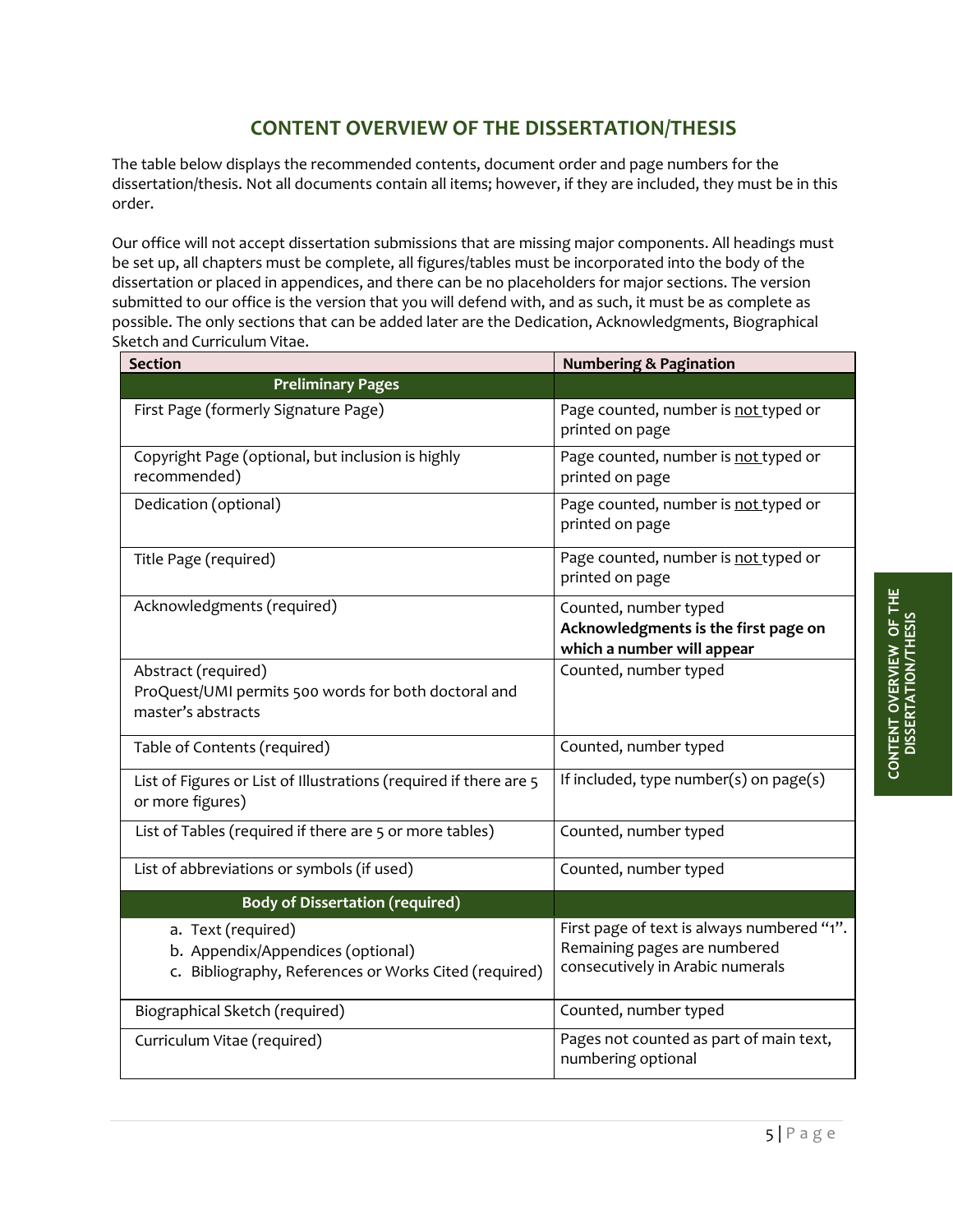## **CONTENT OVERVIEW OF THE DISSERTATION/THESIS**

<span id="page-4-0"></span>The table below displays the recommended contents, document order and page numbers for the dissertation/thesis. Not all documents contain all items; however, if they are included, they must be in this order.

Our office will not accept dissertation submissions that are missing major components. All headings must be set up, all chapters must be complete, all figures/tables must be incorporated into the body of the dissertation or placed in appendices, and there can be no placeholders for major sections. The version submitted to our office is the version that you will defend with, and as such, it must be as complete as possible. The only sections that can be added later are the Dedication, Acknowledgments, Biographical Sketch and Curriculum Vitae.

| <b>Section</b>                                                                                                   | <b>Numbering &amp; Pagination</b>                                                                              |
|------------------------------------------------------------------------------------------------------------------|----------------------------------------------------------------------------------------------------------------|
| <b>Preliminary Pages</b>                                                                                         |                                                                                                                |
| First Page (formerly Signature Page)                                                                             | Page counted, number is not typed or<br>printed on page                                                        |
| Copyright Page (optional, but inclusion is highly<br>recommended)                                                | Page counted, number is not typed or<br>printed on page                                                        |
| Dedication (optional)                                                                                            | Page counted, number is not typed or<br>printed on page                                                        |
| Title Page (required)                                                                                            | Page counted, number is not typed or<br>printed on page                                                        |
| Acknowledgments (required)                                                                                       | Counted, number typed<br>Acknowledgments is the first page on<br>which a number will appear                    |
| Abstract (required)<br>ProQuest/UMI permits 500 words for both doctoral and<br>master's abstracts                | Counted, number typed                                                                                          |
| Table of Contents (required)                                                                                     | Counted, number typed                                                                                          |
| List of Figures or List of Illustrations (required if there are 5<br>or more figures)                            | If included, type number( $s$ ) on page( $s$ )                                                                 |
| List of Tables (required if there are 5 or more tables)                                                          | Counted, number typed                                                                                          |
| List of abbreviations or symbols (if used)                                                                       | Counted, number typed                                                                                          |
| <b>Body of Dissertation (required)</b>                                                                           |                                                                                                                |
| a. Text (required)<br>b. Appendix/Appendices (optional)<br>c. Bibliography, References or Works Cited (required) | First page of text is always numbered "1".<br>Remaining pages are numbered<br>consecutively in Arabic numerals |
| Biographical Sketch (required)                                                                                   | Counted, number typed                                                                                          |
| Curriculum Vitae (required)                                                                                      | Pages not counted as part of main text,<br>numbering optional                                                  |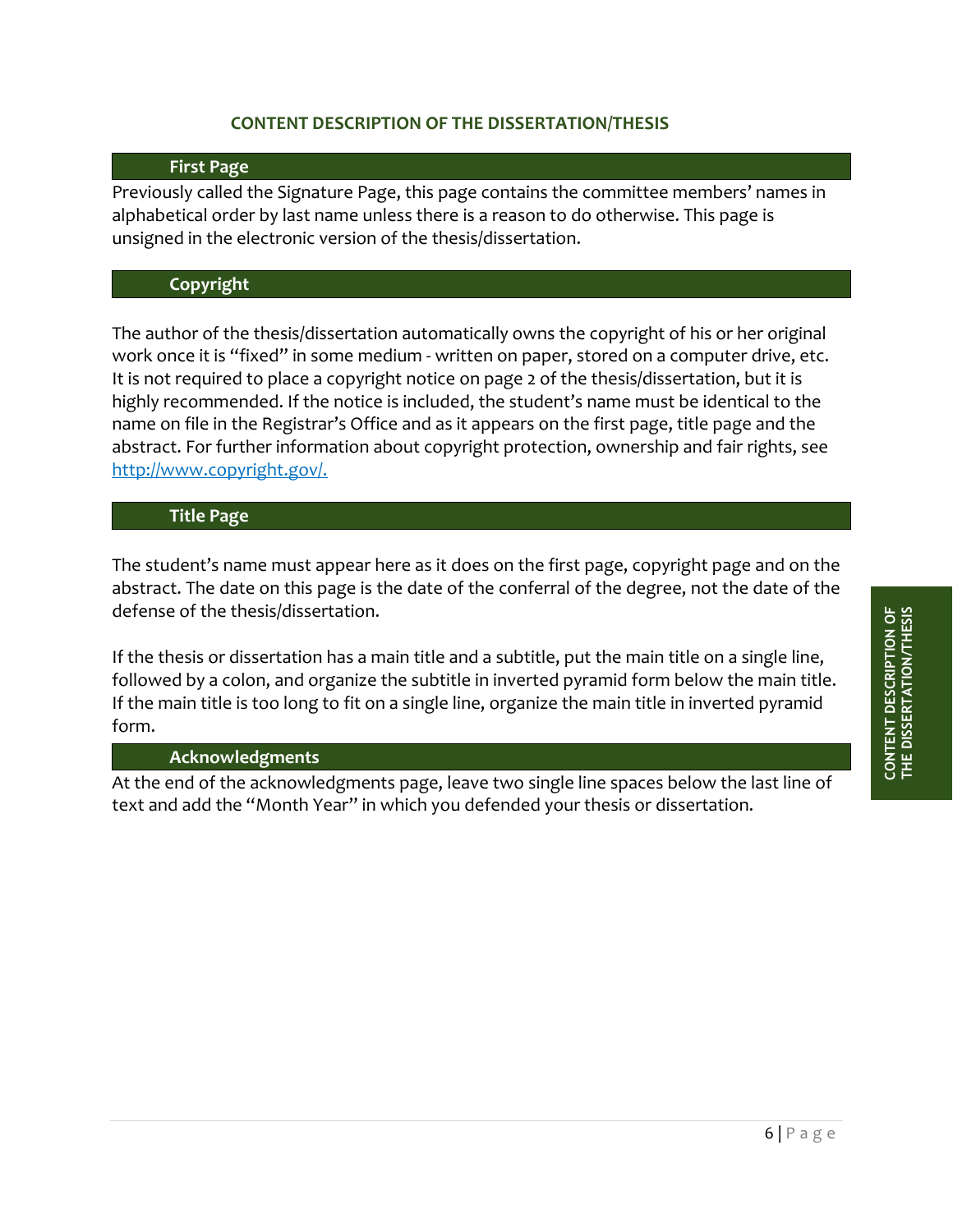#### **CONTENT DESCRIPTION OF THE DISSERTATION/THESIS**

#### **First Page**

<span id="page-5-0"></span>Previously called the Signature Page, this page contains the committee members' names in alphabetical order by last name unless there is a reason to do otherwise. This page is unsigned in the electronic version of the thesis/dissertation.

#### **Copyright**

The author of the thesis/dissertation automatically owns the copyright of his or her original work once it is "fixed" in some medium - written on paper, stored on a computer drive, etc. It is not required to place a copyright notice on page 2 of the thesis/dissertation, but it is highly recommended. If the notice is included, the student's name must be identical to the name on file in the Registrar's Office and as it appears on the first page, title page and the abstract. For further information about copyright protection, ownership and fair rights, see [http://www.copyright.gov/.](http://www.copyright.gov/)

#### **Title Page**

The student's name must appear here as it does on the first page, copyright page and on the abstract. The date on this page is the date of the conferral of the degree, not the date of the defense of the thesis/dissertation.

If the thesis or dissertation has a main title and a subtitle, put the main title on a single line, followed by a colon, and organize the subtitle in inverted pyramid form below the main title. If the main title is too long to fit on a single line, organize the main title in inverted pyramid form.

#### **Acknowledgments**

At the end of the acknowledgments page, leave two single line spaces below the last line of text and add the "Month Year" in which you defended your thesis or dissertation.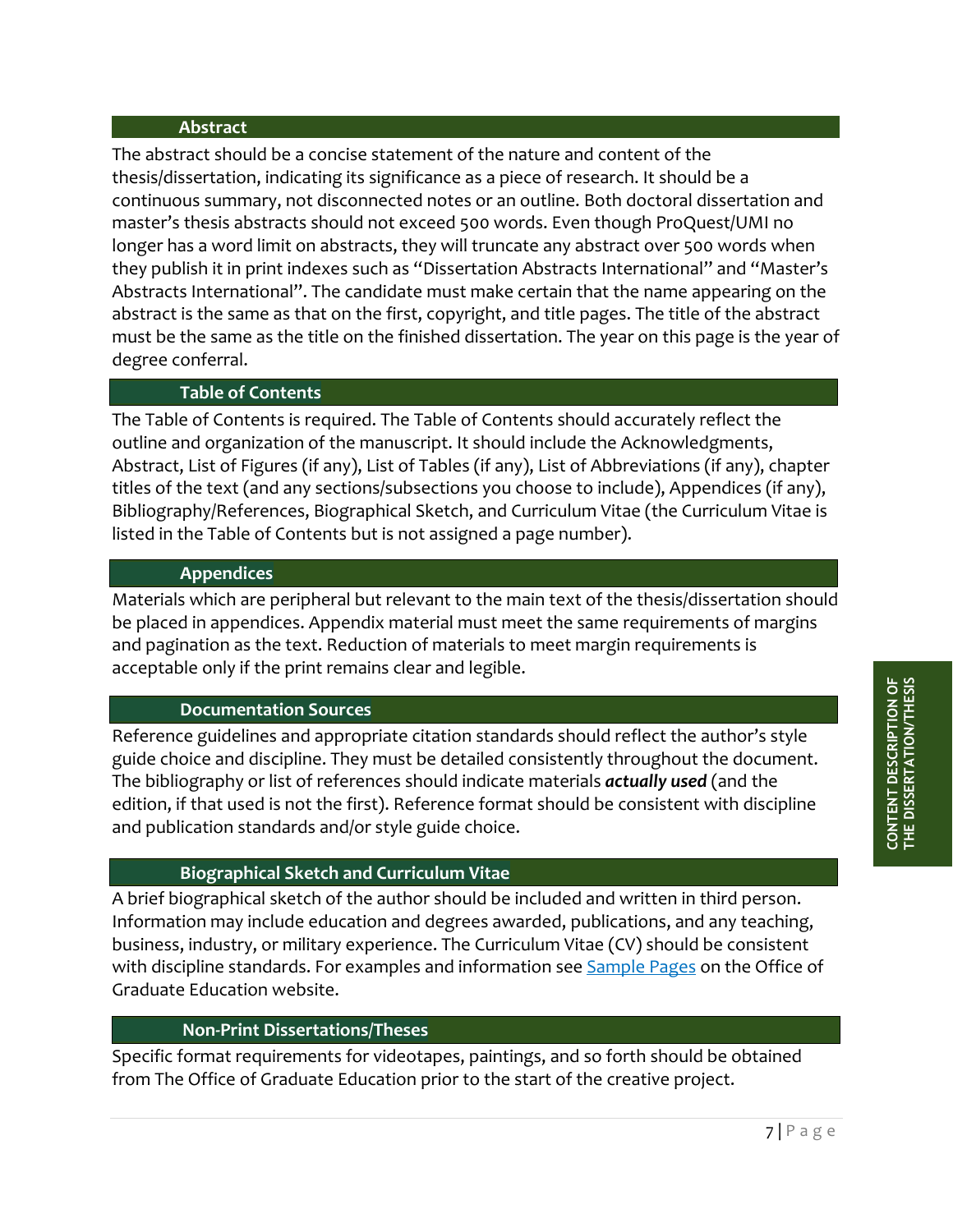#### **Abstract**

The abstract should be a concise statement of the nature and content of the thesis/dissertation, indicating its significance as a piece of research. It should be a continuous summary, not disconnected notes or an outline. Both doctoral dissertation and master's thesis abstracts should not exceed 500 words. Even though ProQuest/UMI no longer has a word limit on abstracts, they will truncate any abstract over 500 words when they publish it in print indexes such as "Dissertation Abstracts International" and "Master's Abstracts International". The candidate must make certain that the name appearing on the abstract is the same as that on the first, copyright, and title pages. The title of the abstract must be the same as the title on the finished dissertation. The year on this page is the year of degree conferral.

#### **Table of Contents**

The Table of Contents is required. The Table of Contents should accurately reflect the outline and organization of the manuscript. It should include the Acknowledgments, Abstract, List of Figures (if any), List of Tables (if any), List of Abbreviations (if any), chapter titles of the text (and any sections/subsections you choose to include), Appendices (if any), Bibliography/References, Biographical Sketch, and Curriculum Vitae (the Curriculum Vitae is listed in the Table of Contents but is not assigned a page number).

#### **Appendices**

Materials which are peripheral but relevant to the main text of the thesis/dissertation should be placed in appendices. Appendix material must meet the same requirements of margins and pagination as the text. Reduction of materials to meet margin requirements is acceptable only if the print remains clear and legible.

#### **Documentation Sources**

Reference guidelines and appropriate citation standards should reflect the author's style guide choice and discipline. They must be detailed consistently throughout the document. The bibliography or list of references should indicate materials *actually used* (and the edition, if that used is not the first). Reference format should be consistent with discipline and publication standards and/or style guide choice.

#### **Biographical Sketch and Curriculum Vitae**

A brief biographical sketch of the author should be included and written in third person. Information may include education and degrees awarded, publications, and any teaching, business, industry, or military experience. The Curriculum Vitae (CV) should be consistent with discipline standards. For examples and information see [Sample Pages](https://graduate.utdallas.edu/docs/SAMPLE%20PAGES_%201.25%20top%20margin%20and%20other%20revisions.pdf) on the Office of Graduate Education website.

#### **Non-Print Dissertations/Theses**

Specific format requirements for videotapes, paintings, and so forth should be obtained from The Office of Graduate Education prior to the start of the creative project.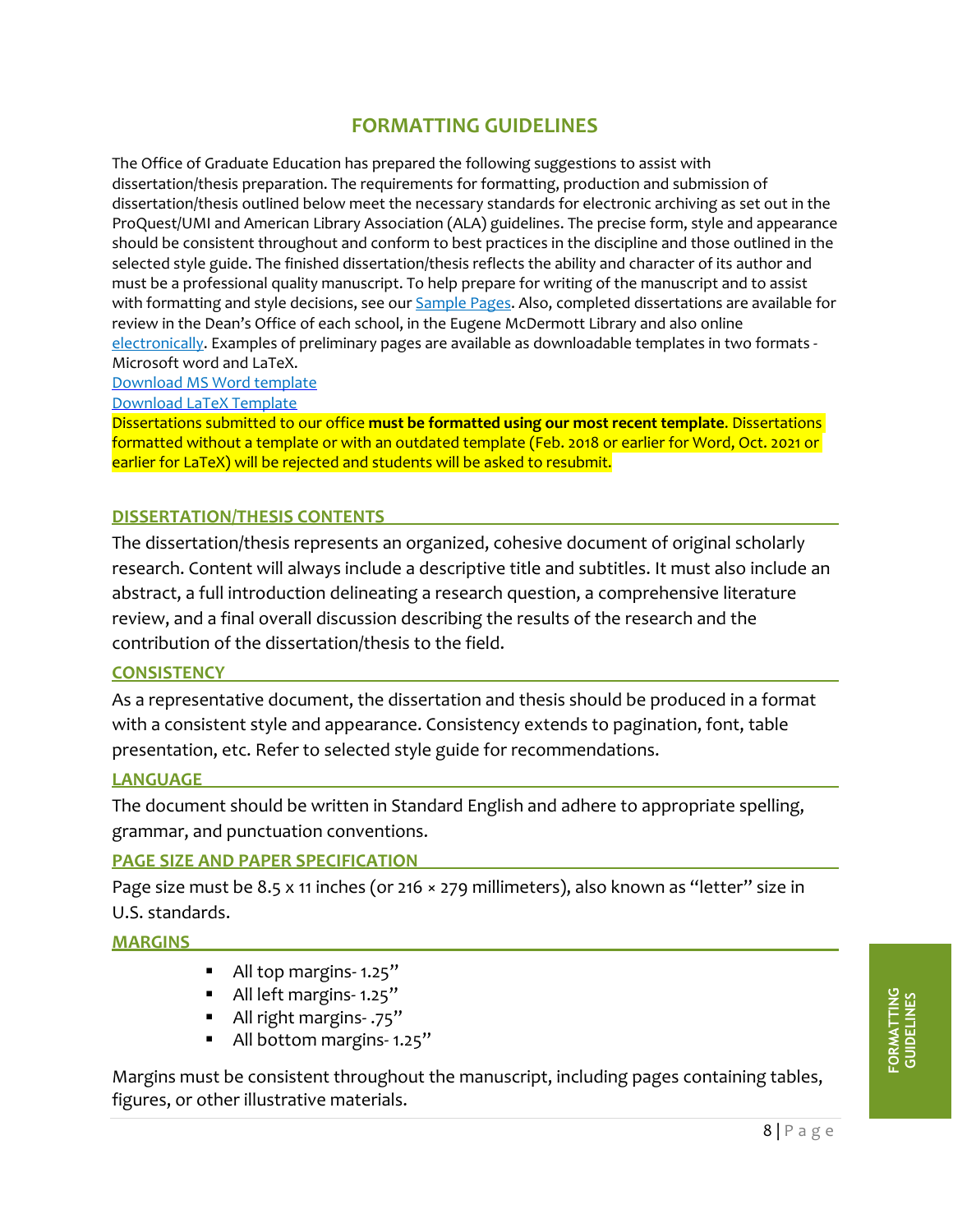### **FORMATTING GUIDELINES**

<span id="page-7-0"></span>The Office of Graduate Education has prepared the following suggestions to assist with dissertation/thesis preparation. The requirements for formatting, production and submission of dissertation/thesis outlined below meet the necessary standards for electronic archiving as set out in the ProQuest/UMI and American Library Association (ALA) guidelines. The precise form, style and appearance should be consistent throughout and conform to best practices in the discipline and those outlined in the selected style guide. The finished dissertation/thesis reflects the ability and character of its author and must be a professional quality manuscript. To help prepare for writing of the manuscript and to assist with formatting and style decisions, see our [Sample Pages.](https://graduate.utdallas.edu/docs/SAMPLE%20PAGES_%201.25%20top%20margin%20and%20other%20revisions.pdf) Also, completed dissertations are available for review in the Dean's Office of each school, in the Eugene McDermott Library and also online [electronically.](https://utd-ir.tdl.org/) Examples of preliminary pages are available as downloadable templates in two formats - Microsoft word and LaTeX.

[Download MS Word template](https://graduate.utdallas.edu/docs/wordtemplate2018.zip)

[Download LaTeX Template](https://graduate.utdallas.edu/docs/LaTeX_template2021.zip)

<span id="page-7-1"></span>Dissertations submitted to our office **must be formatted using our most recent template**. Dissertations formatted without a template or with an outdated template (Feb. 2018 or earlier for Word, Oct. 2021 or earlier for LaTeX) will be rejected and students will be asked to resubmit.

#### **DISSERTATION/THESIS CONTENTS**

The dissertation/thesis represents an organized, cohesive document of original scholarly research. Content will always include a descriptive title and subtitles. It must also include an abstract, a full introduction delineating a research question, a comprehensive literature review, and a final overall discussion describing the results of the research and the contribution of the dissertation/thesis to the field.

#### <span id="page-7-2"></span>**CONSISTENCY**

As a representative document, the dissertation and thesis should be produced in a format with a consistent style and appearance. Consistency extends to pagination, font, table presentation, etc. Refer to selected style guide for recommendations.

#### <span id="page-7-3"></span>**LANGUAGE**

The document should be written in Standard English and adhere to appropriate spelling, grammar, and punctuation conventions.

#### <span id="page-7-4"></span>**PAGE SIZE AND PAPER SPECIFICATION**

Page size must be 8.5 x 11 inches (or 216 × 279 millimeters), also known as "letter" size in U.S. standards.

<span id="page-7-5"></span>**MARGINS**

- All top margins-1.25"
- All left margins-1.25"
- All right margins- .75"
- All bottom margins-1.25"

Margins must be consistent throughout the manuscript, including pages containing tables, figures, or other illustrative materials.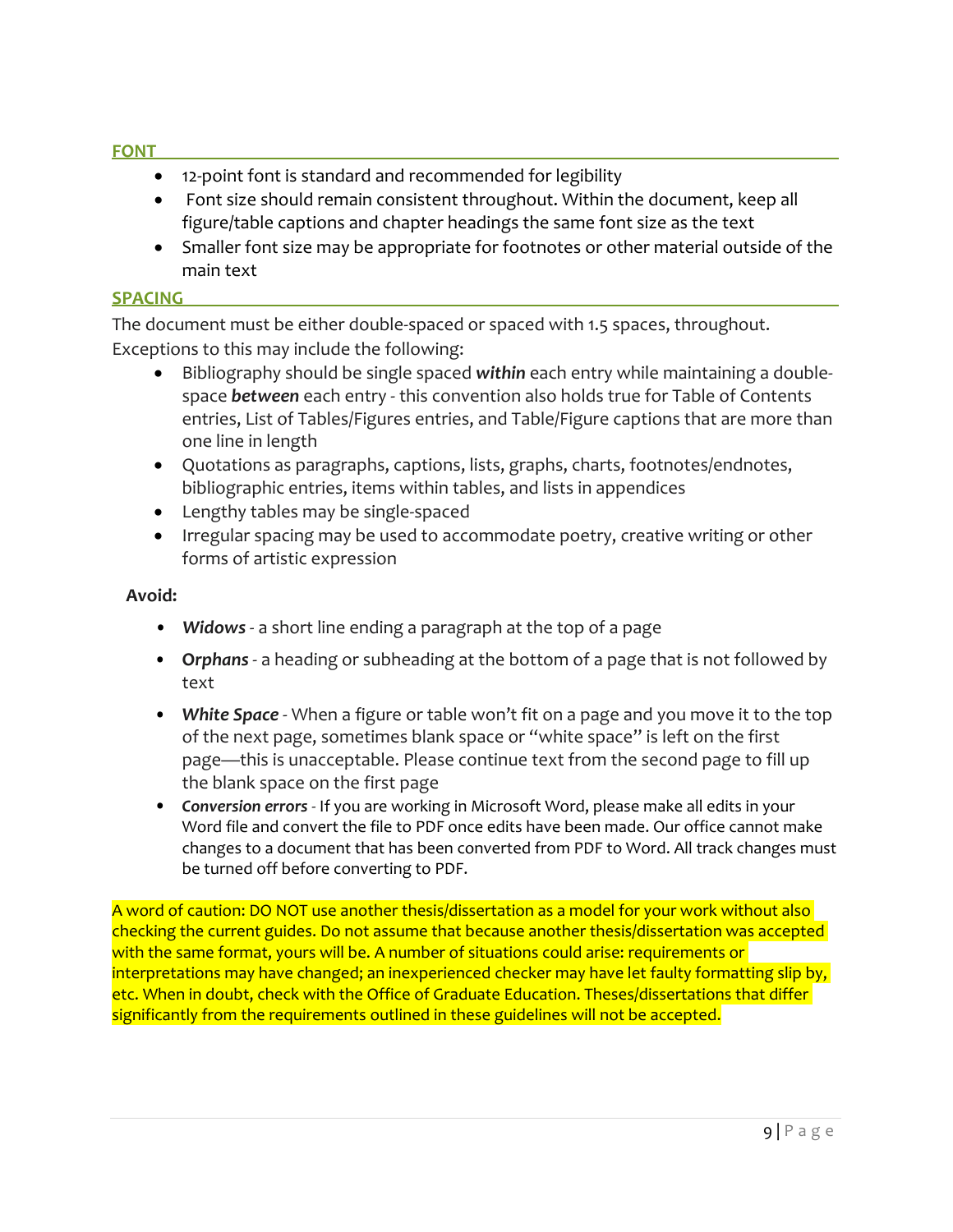#### <span id="page-8-0"></span>**FONT**

- 12-point font is standard and recommended for legibility
- Font size should remain consistent throughout. Within the document, keep all figure/table captions and chapter headings the same font size as the text
- Smaller font size may be appropriate for footnotes or other material outside of the main text

#### <span id="page-8-1"></span>**SPACING**

The document must be either double-spaced or spaced with 1.5 spaces, throughout. Exceptions to this may include the following:

- Bibliography should be single spaced *within* each entry while maintaining a doublespace *between* each entry - this convention also holds true for Table of Contents entries, List of Tables/Figures entries, and Table/Figure captions that are more than one line in length
- Quotations as paragraphs, captions, lists, graphs, charts, footnotes/endnotes, bibliographic entries, items within tables, and lists in appendices
- Lengthy tables may be single-spaced
- Irregular spacing may be used to accommodate poetry, creative writing or other forms of artistic expression

#### **Avoid:**

- *Widows* a short line ending a paragraph at the top of a page
- **O***rphans* a heading or subheading at the bottom of a page that is not followed by text
- *White Space* When a figure or table won't fit on a page and you move it to the top of the next page, sometimes blank space or "white space" is left on the first page—this is unacceptable. Please continue text from the second page to fill up the blank space on the first page
- *Conversion errors* If you are working in Microsoft Word, please make all edits in your Word file and convert the file to PDF once edits have been made. Our office cannot make changes to a document that has been converted from PDF to Word. All track changes must be turned off before converting to PDF.

A word of caution: DO NOT use another thesis/dissertation as a model for your work without also checking the current guides. Do not assume that because another thesis/dissertation was accepted with the same format, yours will be. A number of situations could arise: requirements or interpretations may have changed; an inexperienced checker may have let faulty formatting slip by, etc. When in doubt, check with the Office of Graduate Education. Theses/dissertations that differ significantly from the requirements outlined in these guidelines will not be accepted.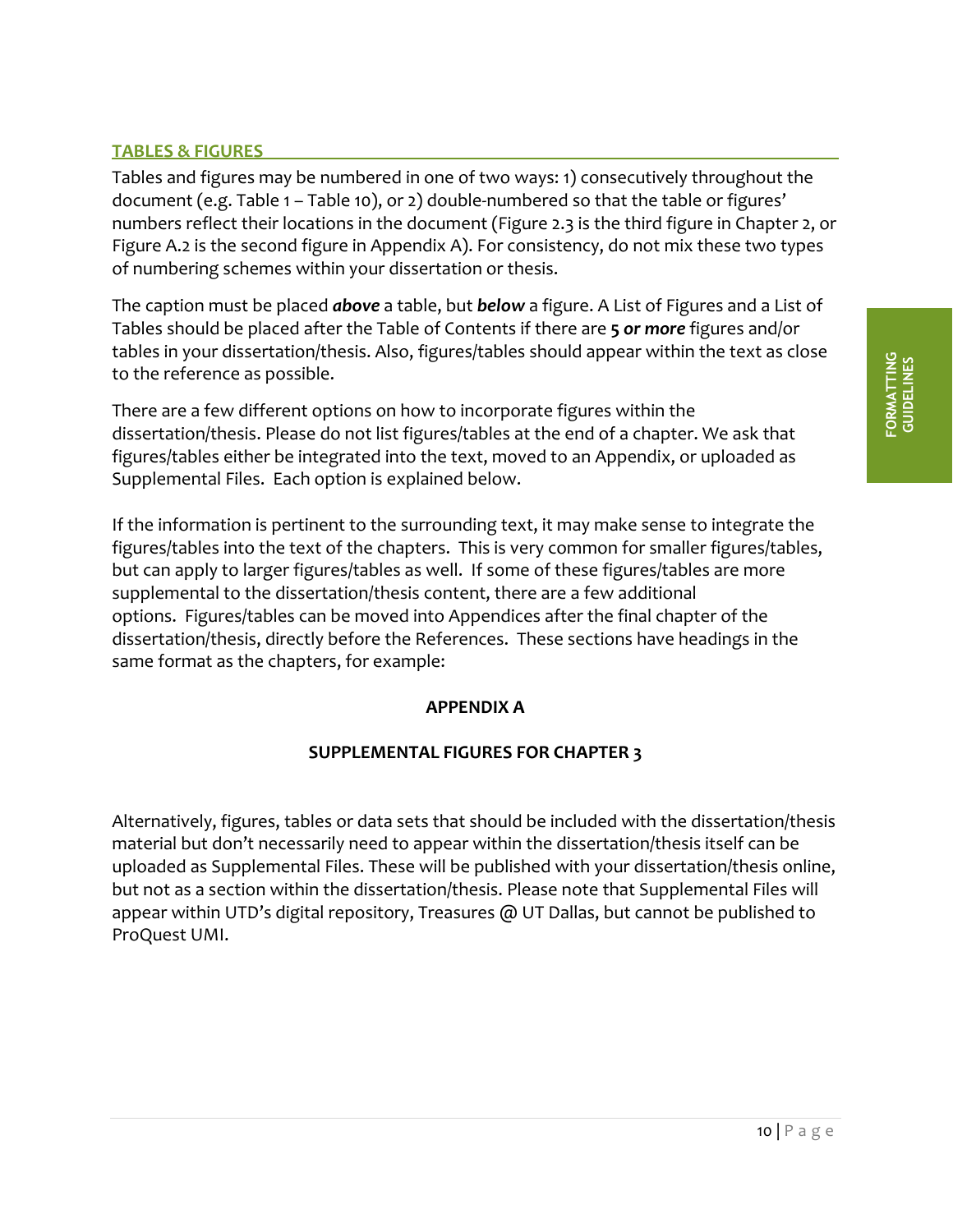#### <span id="page-9-0"></span>**TABLES & FIGURES**

Tables and figures may be numbered in one of two ways: 1) consecutively throughout the document (e.g. Table 1 – Table 10), or 2) double-numbered so that the table or figures' numbers reflect their locations in the document (Figure 2.3 is the third figure in Chapter 2, or Figure A.2 is the second figure in Appendix A). For consistency, do not mix these two types of numbering schemes within your dissertation or thesis.

The caption must be placed *above* a table, but *below* a figure. A List of Figures and a List of Tables should be placed after the Table of Contents if there are **5** *or more* figures and/or tables in your dissertation/thesis. Also, figures/tables should appear within the text as close to the reference as possible.

There are a few different options on how to incorporate figures within the dissertation/thesis. Please do not list figures/tables at the end of a chapter. We ask that figures/tables either be integrated into the text, moved to an Appendix, or uploaded as Supplemental Files. Each option is explained below.

If the information is pertinent to the surrounding text, it may make sense to integrate the figures/tables into the text of the chapters. This is very common for smaller figures/tables, but can apply to larger figures/tables as well. If some of these figures/tables are more supplemental to the dissertation/thesis content, there are a few additional options. Figures/tables can be moved into Appendices after the final chapter of the dissertation/thesis, directly before the References. These sections have headings in the same format as the chapters, for example:

#### **APPENDIX A**

#### **SUPPLEMENTAL FIGURES FOR CHAPTER 3**

<span id="page-9-1"></span>Alternatively, figures, tables or data sets that should be included with the dissertation/thesis material but don't necessarily need to appear within the dissertation/thesis itself can be uploaded as Supplemental Files. These will be published with your dissertation/thesis online, but not as a section within the dissertation/thesis. Please note that Supplemental Files will appear within UTD's digital repository, Treasures @ UT Dallas, but cannot be published to ProQuest UMI.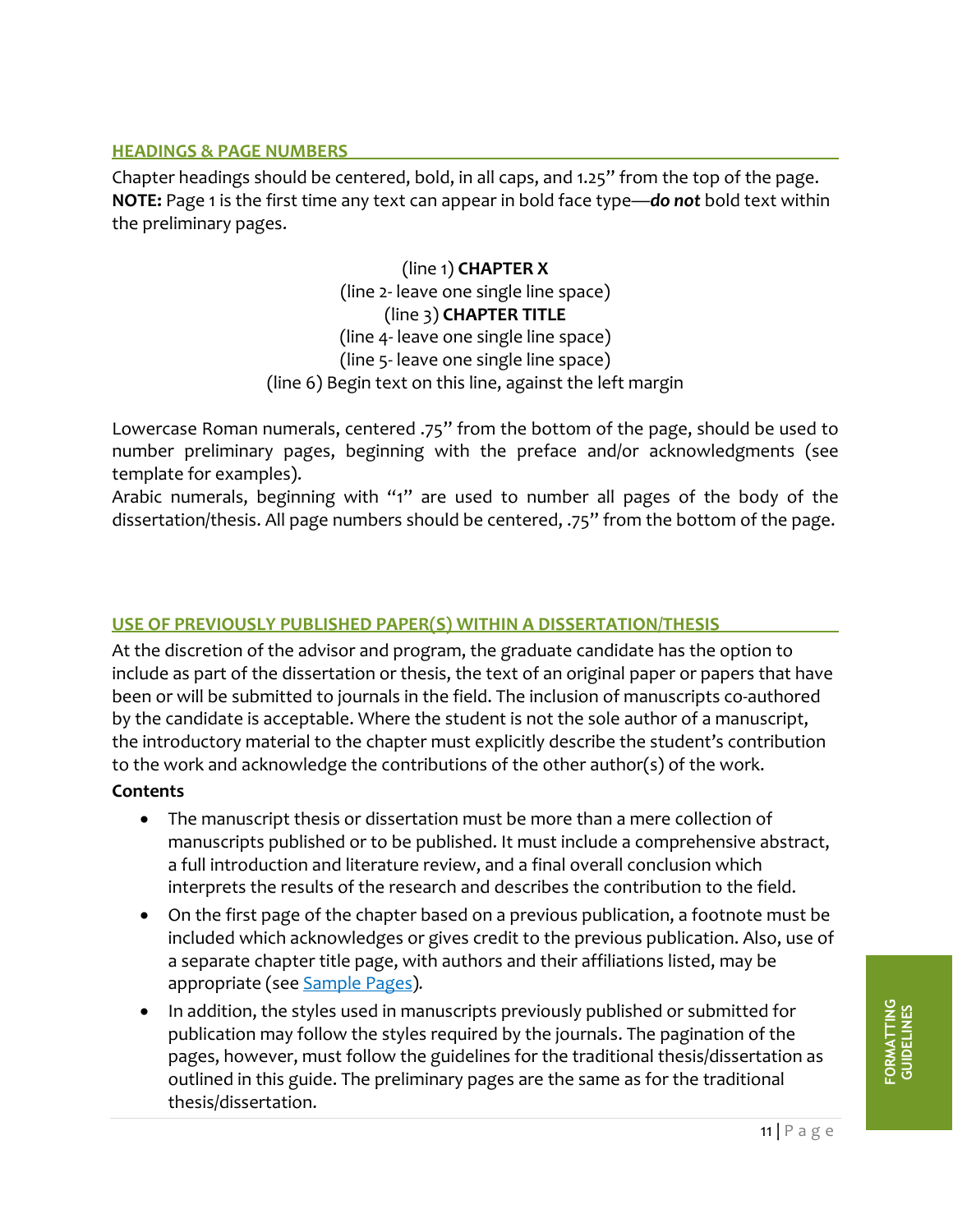#### **HEADINGS & PAGE NUMBERS**

Chapter headings should be centered, bold, in all caps, and 1.25" from the top of the page. **NOTE:** Page 1 is the first time any text can appear in bold face type—*do not* bold text within the preliminary pages.

> (line 1) **CHAPTER X** (line 2- leave one single line space) (line 3) **CHAPTER TITLE** (line 4- leave one single line space) (line 5- leave one single line space) (line 6) Begin text on this line, against the left margin

Lowercase Roman numerals, centered .75" from the bottom of the page, should be used to number preliminary pages, beginning with the preface and/or acknowledgments (see template for examples).

Arabic numerals, beginning with "1" are used to number all pages of the body of the dissertation/thesis. All page numbers should be centered, .75" from the bottom of the page.

#### <span id="page-10-0"></span>**USE OF PREVIOUSLY PUBLISHED PAPER(S) WITHIN A DISSERTATION/THESIS**

At the discretion of the advisor and program, the graduate candidate has the option to include as part of the dissertation or thesis, the text of an original paper or papers that have been or will be submitted to journals in the field. The inclusion of manuscripts co-authored by the candidate is acceptable. Where the student is not the sole author of a manuscript, the introductory material to the chapter must explicitly describe the student's contribution to the work and acknowledge the contributions of the other author(s) of the work.

#### **Contents**

- The manuscript thesis or dissertation must be more than a mere collection of manuscripts published or to be published. It must include a comprehensive abstract, a full introduction and literature review, and a final overall conclusion which interprets the results of the research and describes the contribution to the field.
- On the first page of the chapter based on a previous publication, a footnote must be included which acknowledges or gives credit to the previous publication. Also, use of a separate chapter title page, with authors and their affiliations listed, may be appropriate (see [Sample Pages\)](https://graduate.utdallas.edu/docs/SAMPLE%20PAGES_%201.25%20top%20margin%20and%20other%20revisions.pdf)*.*
- In addition, the styles used in manuscripts previously published or submitted for publication may follow the styles required by the journals. The pagination of the pages, however, must follow the guidelines for the traditional thesis/dissertation as outlined in this guide. The preliminary pages are the same as for the traditional thesis/dissertation.